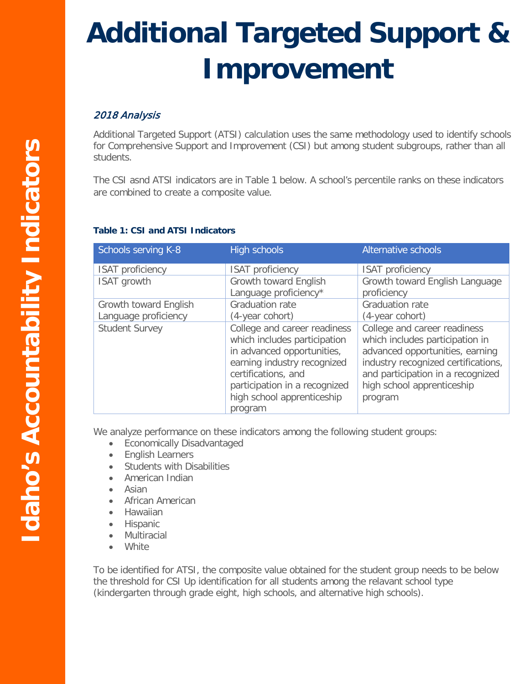## **Additional Targeted Support & Improvement**

## 2018 Analysis

Additional Targeted Support (ATSI) calculation uses the same methodology used to identify schools for Comprehensive Support and Improvement (CSI) but among student subgroups, rather than all students.

The CSI asnd ATSI indicators are in Table 1 below. A school's percentile ranks on these indicators are combined to create a composite value.

## **Table 1: CSI and ATSI Indicators**

| Schools serving K-8     | High schools                                                                                                                                                                                                               | Alternative schools                                                                                                                                                                                                     |
|-------------------------|----------------------------------------------------------------------------------------------------------------------------------------------------------------------------------------------------------------------------|-------------------------------------------------------------------------------------------------------------------------------------------------------------------------------------------------------------------------|
| <b>ISAT proficiency</b> | <b>ISAT</b> proficiency                                                                                                                                                                                                    | <b>ISAT proficiency</b>                                                                                                                                                                                                 |
| ISAT growth             | Growth toward English                                                                                                                                                                                                      | Growth toward English Language                                                                                                                                                                                          |
|                         | Language proficiency*                                                                                                                                                                                                      | proficiency                                                                                                                                                                                                             |
| Growth toward English   | Graduation rate                                                                                                                                                                                                            | <b>Graduation rate</b>                                                                                                                                                                                                  |
| Language proficiency    | (4-year cohort)                                                                                                                                                                                                            | (4-year cohort)                                                                                                                                                                                                         |
| <b>Student Survey</b>   | College and career readiness<br>which includes participation<br>in advanced opportunities,<br>earning industry recognized<br>certifications, and<br>participation in a recognized<br>high school apprenticeship<br>program | College and career readiness<br>which includes participation in<br>advanced opportunities, earning<br>industry recognized certifications,<br>and participation in a recognized<br>high school apprenticeship<br>program |

We analyze performance on these indicators among the following student groups:

- Economically Disadvantaged
- English Learners
- Students with Disabilities
- American Indian
- Asian
- African American
- Hawaiian
- Hispanic
- Multiracial
- White

To be identified for ATSI, the composite value obtained for the student group needs to be below the threshold for CSI Up identification for all students among the relavant school type (kindergarten through grade eight, high schools, and alternative high schools).